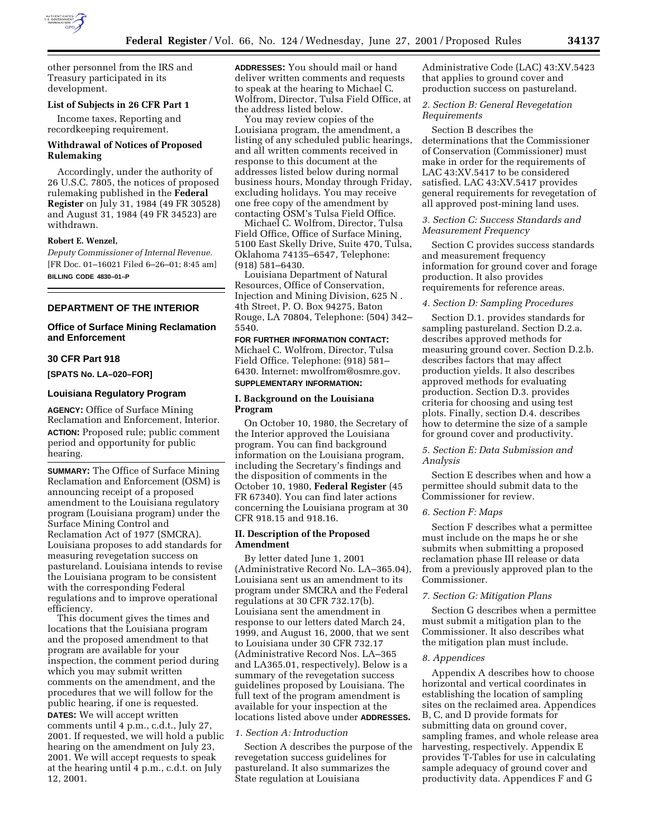

other personnel from the IRS and Treasury participated in its development.

## **List of Subjects in 26 CFR Part 1**

Income taxes, Reporting and recordkeeping requirement.

## **Withdrawal of Notices of Proposed Rulemaking**

Accordingly, under the authority of 26 U.S.C. 7805, the notices of proposed rulemaking published in the **Federal Register** on July 31, 1984 (49 FR 30528) and August 31, 1984 (49 FR 34523) are withdrawn.

## **Robert E. Wenzel,**

*Deputy Commissioner of Internal Revenue.* [FR Doc. 01–16021 Filed 6–26–01; 8:45 am] **BILLING CODE 4830–01–P**

## **DEPARTMENT OF THE INTERIOR**

## **Office of Surface Mining Reclamation and Enforcement**

#### **30 CFR Part 918**

**[SPATS No. LA–020–FOR]**

#### **Louisiana Regulatory Program**

**AGENCY:** Office of Surface Mining Reclamation and Enforcement, Interior. **ACTION:** Proposed rule; public comment period and opportunity for public hearing.

**SUMMARY:** The Office of Surface Mining Reclamation and Enforcement (OSM) is announcing receipt of a proposed amendment to the Louisiana regulatory program (Louisiana program) under the Surface Mining Control and Reclamation Act of 1977 (SMCRA). Louisiana proposes to add standards for measuring revegetation success on pastureland. Louisiana intends to revise the Louisiana program to be consistent with the corresponding Federal regulations and to improve operational efficiency.

This document gives the times and locations that the Louisiana program and the proposed amendment to that program are available for your inspection, the comment period during which you may submit written comments on the amendment, and the procedures that we will follow for the public hearing, if one is requested. **DATES:** We will accept written comments until 4 p.m., c.d.t., July 27, 2001. If requested, we will hold a public hearing on the amendment on July 23, 2001. We will accept requests to speak at the hearing until 4 p.m., c.d.t. on July 12, 2001.

**ADDRESSES:** You should mail or hand deliver written comments and requests to speak at the hearing to Michael C. Wolfrom, Director, Tulsa Field Office, at the address listed below.

You may review copies of the Louisiana program, the amendment, a listing of any scheduled public hearings, and all written comments received in response to this document at the addresses listed below during normal business hours, Monday through Friday, excluding holidays. You may receive one free copy of the amendment by contacting OSM's Tulsa Field Office.

Michael C. Wolfrom, Director, Tulsa Field Office, Office of Surface Mining, 5100 East Skelly Drive, Suite 470, Tulsa, Oklahoma 74135–6547, Telephone: (918) 581–6430.

Louisiana Department of Natural Resources, Office of Conservation, Injection and Mining Division, 625 N . 4th Street, P. O. Box 94275, Baton Rouge, LA 70804, Telephone: (504) 342– 5540.

# **FOR FURTHER INFORMATION CONTACT:** Michael C. Wolfrom, Director, Tulsa Field Office. Telephone: (918) 581–

6430. Internet: mwolfrom@osmre.gov. **SUPPLEMENTARY INFORMATION:**

#### **I. Background on the Louisiana Program**

On October 10, 1980, the Secretary of the Interior approved the Louisiana program. You can find background information on the Louisiana program, including the Secretary's findings and the disposition of comments in the October 10, 1980, **Federal Register** (45 FR 67340). You can find later actions concerning the Louisiana program at 30 CFR 918.15 and 918.16.

#### **II. Description of the Proposed Amendment**

By letter dated June 1, 2001 (Administrative Record No. LA–365.04), Louisiana sent us an amendment to its program under SMCRA and the Federal regulations at 30 CFR 732.17(b). Louisiana sent the amendment in response to our letters dated March 24, 1999, and August 16, 2000, that we sent to Louisiana under 30 CFR 732.17 (Administrative Record Nos. LA–365 and LA365.01, respectively). Below is a summary of the revegetation success guidelines proposed by Louisiana. The full text of the program amendment is available for your inspection at the locations listed above under **ADDRESSES.**

#### *1. Section A: Introduction*

Section A describes the purpose of the revegetation success guidelines for pastureland. It also summarizes the State regulation at Louisiana

Administrative Code (LAC) 43:XV.5423 that applies to ground cover and production success on pastureland.

# *2. Section B: General Revegetation Requirements*

Section B describes the determinations that the Commissioner of Conservation (Commissioner) must make in order for the requirements of LAC 43:XV.5417 to be considered satisfied. LAC 43:XV.5417 provides general requirements for revegetation of all approved post-mining land uses.

## *3. Section C: Success Standards and Measurement Frequency*

Section C provides success standards and measurement frequency information for ground cover and forage production. It also provides requirements for reference areas.

#### *4. Section D: Sampling Procedures*

Section D.1. provides standards for sampling pastureland. Section D.2.a. describes approved methods for measuring ground cover. Section D.2.b. describes factors that may affect production yields. It also describes approved methods for evaluating production. Section D.3. provides criteria for choosing and using test plots. Finally, section D.4. describes how to determine the size of a sample for ground cover and productivity.

# *5. Section E: Data Submission and Analysis*

Section E describes when and how a permittee should submit data to the Commissioner for review.

#### *6. Section F: Maps*

Section F describes what a permittee must include on the maps he or she submits when submitting a proposed reclamation phase III release or data from a previously approved plan to the Commissioner.

#### *7. Section G: Mitigation Plans*

Section G describes when a permittee must submit a mitigation plan to the Commissioner. It also describes what the mitigation plan must include.

#### *8. Appendices*

Appendix A describes how to choose horizontal and vertical coordinates in establishing the location of sampling sites on the reclaimed area. Appendices B, C, and D provide formats for submitting data on ground cover, sampling frames, and whole release area harvesting, respectively. Appendix E provides T-Tables for use in calculating sample adequacy of ground cover and productivity data. Appendices F and G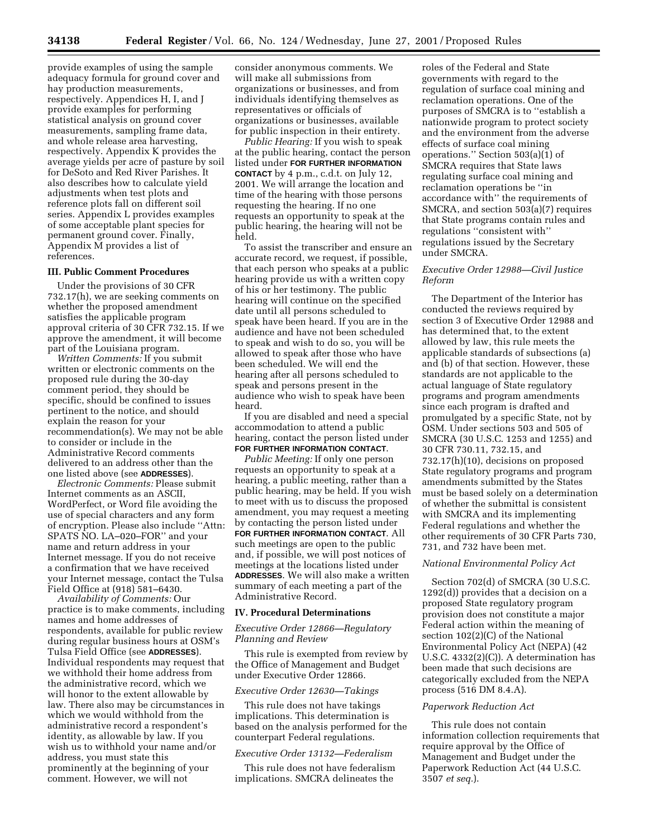provide examples of using the sample adequacy formula for ground cover and hay production measurements, respectively. Appendices H, I, and J provide examples for performing statistical analysis on ground cover measurements, sampling frame data, and whole release area harvesting, respectively. Appendix K provides the average yields per acre of pasture by soil for DeSoto and Red River Parishes. It also describes how to calculate yield adjustments when test plots and reference plots fall on different soil series. Appendix L provides examples of some acceptable plant species for permanent ground cover. Finally, Appendix M provides a list of references.

# **III. Public Comment Procedures**

Under the provisions of 30 CFR 732.17(h), we are seeking comments on whether the proposed amendment satisfies the applicable program approval criteria of 30 CFR 732.15. If we approve the amendment, it will become part of the Louisiana program.

*Written Comments:* If you submit written or electronic comments on the proposed rule during the 30-day comment period, they should be specific, should be confined to issues pertinent to the notice, and should explain the reason for your recommendation(s). We may not be able to consider or include in the Administrative Record comments delivered to an address other than the one listed above (see **ADDRESSES**).

*Electronic Comments:* Please submit Internet comments as an ASCII, WordPerfect, or Word file avoiding the use of special characters and any form of encryption. Please also include ''Attn: SPATS NO. LA–020–FOR'' and your name and return address in your Internet message. If you do not receive a confirmation that we have received your Internet message, contact the Tulsa Field Office at (918) 581–6430.

*Availability of Comments:* Our practice is to make comments, including names and home addresses of respondents, available for public review during regular business hours at OSM's Tulsa Field Office (see **ADDRESSES**). Individual respondents may request that we withhold their home address from the administrative record, which we will honor to the extent allowable by law. There also may be circumstances in which we would withhold from the administrative record a respondent's identity, as allowable by law. If you wish us to withhold your name and/or address, you must state this prominently at the beginning of your comment. However, we will not

consider anonymous comments. We will make all submissions from organizations or businesses, and from individuals identifying themselves as representatives or officials of organizations or businesses, available for public inspection in their entirety.

*Public Hearing:* If you wish to speak at the public hearing, contact the person listed under **FOR FURTHER INFORMATION CONTACT** by 4 p.m., c.d.t. on July 12, 2001. We will arrange the location and time of the hearing with those persons requesting the hearing. If no one requests an opportunity to speak at the public hearing, the hearing will not be held.

To assist the transcriber and ensure an accurate record, we request, if possible, that each person who speaks at a public hearing provide us with a written copy of his or her testimony. The public hearing will continue on the specified date until all persons scheduled to speak have been heard. If you are in the audience and have not been scheduled to speak and wish to do so, you will be allowed to speak after those who have been scheduled. We will end the hearing after all persons scheduled to speak and persons present in the audience who wish to speak have been heard.

If you are disabled and need a special accommodation to attend a public hearing, contact the person listed under **FOR FURTHER INFORMATION CONTACT**.

*Public Meeting:* If only one person requests an opportunity to speak at a hearing, a public meeting, rather than a public hearing, may be held. If you wish to meet with us to discuss the proposed amendment, you may request a meeting by contacting the person listed under **FOR FURTHER INFORMATION CONTACT**. All such meetings are open to the public and, if possible, we will post notices of meetings at the locations listed under **ADDRESSES**. We will also make a written summary of each meeting a part of the Administrative Record.

#### **IV. Procedural Determinations**

## *Executive Order 12866—Regulatory Planning and Review*

This rule is exempted from review by the Office of Management and Budget under Executive Order 12866.

#### *Executive Order 12630—Takings*

This rule does not have takings implications. This determination is based on the analysis performed for the counterpart Federal regulations.

#### *Executive Order 13132—Federalism*

This rule does not have federalism implications. SMCRA delineates the

roles of the Federal and State governments with regard to the regulation of surface coal mining and reclamation operations. One of the purposes of SMCRA is to ''establish a nationwide program to protect society and the environment from the adverse effects of surface coal mining operations." Section  $503(a)(1)$  of SMCRA requires that State laws regulating surface coal mining and reclamation operations be ''in accordance with'' the requirements of SMCRA, and section 503(a)(7) requires that State programs contain rules and regulations ''consistent with'' regulations issued by the Secretary under SMCRA.

# *Executive Order 12988—Civil Justice Reform*

The Department of the Interior has conducted the reviews required by section 3 of Executive Order 12988 and has determined that, to the extent allowed by law, this rule meets the applicable standards of subsections (a) and (b) of that section. However, these standards are not applicable to the actual language of State regulatory programs and program amendments since each program is drafted and promulgated by a specific State, not by OSM. Under sections 503 and 505 of SMCRA (30 U.S.C. 1253 and 1255) and 30 CFR 730.11, 732.15, and 732.17(h)(10), decisions on proposed State regulatory programs and program amendments submitted by the States must be based solely on a determination of whether the submittal is consistent with SMCRA and its implementing Federal regulations and whether the other requirements of 30 CFR Parts 730, 731, and 732 have been met.

# *National Environmental Policy Act*

Section 702(d) of SMCRA (30 U.S.C. 1292(d)) provides that a decision on a proposed State regulatory program provision does not constitute a major Federal action within the meaning of section 102(2)(C) of the National Environmental Policy Act (NEPA) (42 U.S.C. 4332(2)(C)). A determination has been made that such decisions are categorically excluded from the NEPA process (516 DM 8.4.A).

## *Paperwork Reduction Act*

This rule does not contain information collection requirements that require approval by the Office of Management and Budget under the Paperwork Reduction Act (44 U.S.C. 3507 *et seq.*).